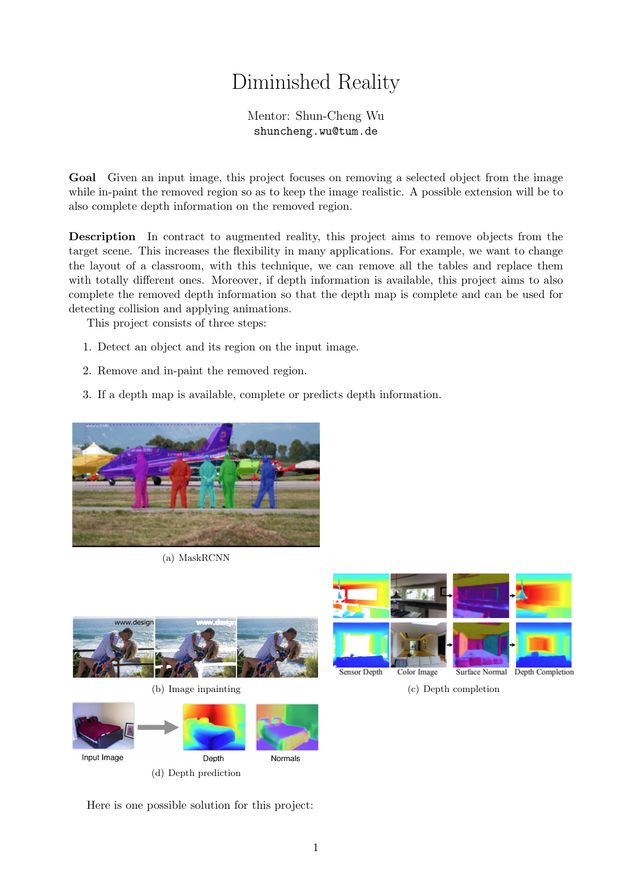## Diminished Reality

Mentor: Shun-Cheng Wu shuncheng.wu@tum.de

Goal Given an input image, this project focuses on removing a selected object from the image while in-paint the removed region so as to keep the image realistic. A possible extension will be to also complete depth information on the removed region.

Description In contract to augmented reality, this project aims to remove objects from the target scene. This increases the flexibility in many applications. For example, we want to change the layout of a classroom, with this technique, we can remove all the tables and replace them with totally different ones. Moreover, if depth information is available, this project aims to also complete the removed depth information so that the depth map is complete and can be used for detecting collision and applying animations.

This project consists of three steps:

- 1. Detect an object and its region on the input image.
- 2. Remove and in-paint the removed region.
- 3. If a depth map is available, complete or predicts depth information.



(a) MaskRCNN



(b) Image inpainting (c) Depth completion





Here is one possible solution for this project: